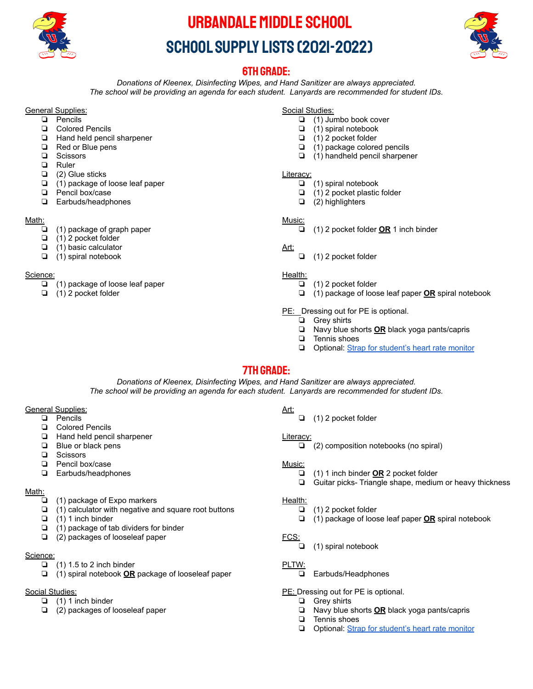

# Urbandale Middle School SCHOOL SUPPLY LISTS (2021-2022)



# 6th Grade:

*Donations of Kleenex, Disinfecting Wipes, and Hand Sanitizer are always appreciated. The school will be providing an agenda for each student. Lanyards are recommended for student IDs.*

# **General Supplies:**

- ❏ Pencils
- ❏ Colored Pencils
- ❏ Hand held pencil sharpener
- ❏ Red or Blue pens
- ❏ Scissors
- ❏ Ruler
- ❏ (2) Glue sticks
- ❏ (1) package of loose leaf paper
- ❏ Pencil box/case
- ❏ Earbuds/headphones

#### Math:

- ❏ (1) package of graph paper
- ❏ (1) 2 pocket folder
- ❏ (1) basic calculator
- ❏ (1) spiral notebook

# Science:

- ❏ (1) package of loose leaf paper
- ❏ (1) 2 pocket folder

Social Studies:

- ❏ (1) Jumbo book cover
- ❏ (1) spiral notebook
- ❏ (1) 2 pocket folder
- ❏ (1) package colored pencils
- ❏ (1) handheld pencil sharpener

#### Literacy:

- ❏ (1) spiral notebook
- ❏ (1) 2 pocket plastic folder
- ❏ (2) highlighters

# Music:

❏ (1) 2 pocket folder **OR** 1 inch binder

# Art:

❏ (1) 2 pocket folder

# Health:

- ❏ (1) 2 pocket folder
- ❏ (1) package of loose leaf paper **OR** spiral notebook

# PE: Dressing out for PE is optional.

- ❏ Grey shirts
- ❏ Navy blue shorts **OR** black yoga pants/capris
- ❏ Tennis shoes
- ❏ Optional: [Strap for student's heart rate monitor](https://www.amazon.com/Scosche-Rhythm-Replacement-StrapOptical/dp/B07K1MW727/ref=sr_1_3?keywords=scosche+arm+strap&qid=1554657985&s=gateway&sr=8-3&th=1)

# 7th Grade:

*Donations of Kleenex, Disinfecting Wipes, and Hand Sanitizer are always appreciated. The school will be providing an agenda for each student. Lanyards are recommended for student IDs.*

# **General Supplies:**

- ❏ Pencils
- ❏ Colored Pencils
- ❏ Hand held pencil sharpener
- ❏ Blue or black pens
- ❏ Scissors
- ❏ Pencil box/case
- ❏ Earbuds/headphones

#### Math:

- ❏ (1) package of Expo markers
- ❏ (1) calculator with negative and square root buttons
- ❏ (1) 1 inch binder
- ❏ (1) package of tab dividers for binder
- ❏ (2) packages of looseleaf paper

# Science:

- $\Box$  (1) 1.5 to 2 inch binder
- ❏ (1) spiral notebook **OR** package of looseleaf paper

# Social Studies:

- ❏ (1) 1 inch binder
- ❏ (2) packages of looseleaf paper

Art:

❏ (1) 2 pocket folder

# Literacy:

❏ (2) composition notebooks (no spiral)

# Music:

- ❏ (1) 1 inch binder **OR** 2 pocket folder
- ❏ Guitar picks- Triangle shape, medium or heavy thickness

# Health:

- ❏ (1) 2 pocket folder
- ❏ (1) package of loose leaf paper **OR** spiral notebook

# FCS:

❏ (1) spiral notebook

# PLTW:

❏ Earbuds/Headphones

PE: Dressing out for PE is optional.

- ❏ Grey shirts
- ❏ Navy blue shorts **OR** black yoga pants/capris
- ❏ Tennis shoes
- ❏ Optional: [Strap for student's heart rate monitor](https://www.amazon.com/Scosche-Rhythm-Replacement-StrapOptical/dp/B07K1MW727/ref=sr_1_3?keywords=scosche+arm+strap&qid=1554657985&s=gateway&sr=8-3&th=1)
- 
-